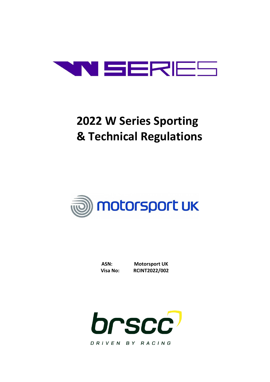

# **2022 W Series Sporting & Technical Regulations**



| ASN:     |  |
|----------|--|
| Visa No: |  |

**Motorsport UK Visa No: RCINT2022/002**

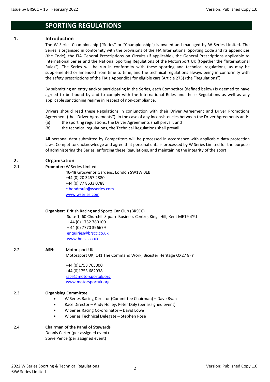### **SPORTING REGULATIONS**

### **1. Introduction**

The W Series Championship ("Series" or "Championship") is owned and managed by W Series Limited. The Series is organised in conformity with the provisions of the FIA International Sporting Code and its appendices (the Code), the FIA General Prescriptions on Circuits (if applicable), the General Prescriptions applicable to International Series and the National Sporting Regulations of the Motorsport UK (together the "International Rules"). The Series will be run in conformity with these sporting and technical regulations, as may be supplemented or amended from time to time, and the technical regulations always being in conformity with the safety prescriptions of the FIA's Appendix J for eligible cars (Article 275) (the "Regulations").

By submitting an entry and/or participating in the Series, each Competitor (defined below) is deemed to have agreed to be bound by and to comply with the International Rules and these Regulations as well as any applicable sanctioning regime in respect of non-compliance.

Drivers should read these Regulations in conjunction with their Driver Agreement and Driver Promotions Agreement (the "Driver Agreements"). In the case of any inconsistencies between the Driver Agreements and:

- (a) the sporting regulations, the Driver Agreements shall prevail; and
- (b) the technical regulations, the Technical Regulations shall prevail.

All personal data submitted by Competitors will be processed in accordance with applicable data protection laws. Competitors acknowledge and agree that personal data is processed by W Series Limited for the purpose of administering the Series, enforcing these Regulations, and maintaining the integrity of the sport.

### **2. Organisation**

2.1 **Promoter:** W Series Limited

46-48 Grosvenor Gardens, London SW1W 0EB +44 (0) 20 3457 2880 +44 (0) 77 8633 0788 [c.bondmuir@wseries.com](mailto:c.bondmuir@wseries.com) [www.wseries.com](http://www.wseries.com/)

|  | <b>Organiser:</b> British Racing and Sports Car Club (BRSCC) |
|--|--------------------------------------------------------------|
|--|--------------------------------------------------------------|

 Suite 1, 60 Churchill Square Business Centre, Kings Hill, Kent ME19 4YU + 44 (0) 1732 780100 + 44 (0) 7770 396679 [enquiries@brscc.co.uk](mailto:enquiries@brscc.co.uk) [www.brscc.co.uk](http://www.brscc.co.uk/)

2.2 **ASN:** Motorsport UK

Motorsport UK, 141 The Command Work, Bicester Heritage OX27 8FY

+44 (0)1753 765000 +44 (0)1753 682938 [race@motorsportuk.org](mailto:race@motorsportuk.org) [www.motorsportuk.org](http://www.motorsportuk.org/)

### 2.3 **Organising Committee**

- W Series Racing Director (Committee Chairman) Dave Ryan
- Race Director Andy Holley, Peter Daly (per assigned event)
- W Series Racing Co-ordinator David Lowe
- W Series Technical Delegate Stephen Rose

| <b>Chairman of the Panel of Stewards</b> |
|------------------------------------------|
|                                          |

Dennis Carter (per assigned event) Steve Pence (per assigned event)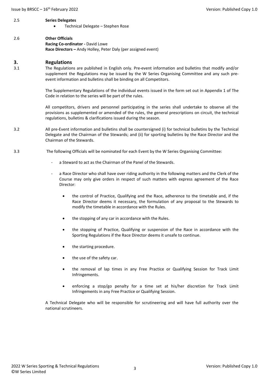#### 2.5 **Series Delegates**

• Technical Delegate – Stephen Rose

### 2.6 **Other Officials**

**Racing Co-ordinator -** David Lowe **Race Directors –** Andy Holley, Peter Daly (per assigned event)

### **3. Regulations**

3.1 The Regulations are published in English only. Pre-event information and bulletins that modify and/or supplement the Regulations may be issued by the W Series Organising Committee and any such preevent information and bulletins shall be binding on all Competitors.

> The Supplementary Regulations of the individual events issued in the form set out in Appendix 1 of The Code in relation to the series will be part of the rules.

> All competitors, drivers and personnel participating in the series shall undertake to observe all the provisions as supplemented or amended of the rules, the general prescriptions on circuit, the technical regulations, bulletins & clarifications issued during the season.

- 3.2 All pre-Event information and bulletins shall be countersigned (i) for technical bulletins by the Technical Delegate and the Chairman of the Stewards; and (ii) for sporting bulletins by the Race Director and the Chairman of the Stewards.
- 3.3 The following Officials will be nominated for each Event by the W Series Organising Committee:
	- a Steward to act as the Chairman of the Panel of the Stewards.
	- a Race Director who shall have over riding authority in the following matters and the Clerk of the Course may only give orders in respect of such matters with express agreement of the Race Director:
		- the control of Practice, Qualifying and the Race, adherence to the timetable and, if the Race Director deems it necessary, the formulation of any proposal to the Stewards to modify the timetable in accordance with the Rules.
		- the stopping of any car in accordance with the Rules.
		- the stopping of Practice, Qualifying or suspension of the Race in accordance with the Sporting Regulations if the Race Director deems it unsafe to continue.
		- the starting procedure.
		- the use of the safety car.
		- the removal of lap times in any Free Practice or Qualifying Session for Track Limit Infringements.
		- enforcing a stop/go penalty for a time set at his/her discretion for Track Limit Infringements in any Free Practice or Qualifying Session.

A Technical Delegate who will be responsible for scrutineering and will have full authority over the national scrutineers.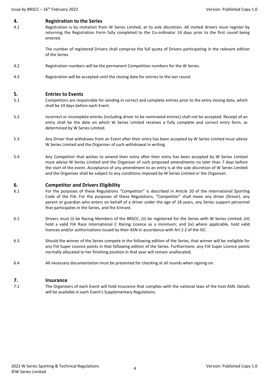### **4. Registration to the Series**

4.1 Registration is by invitation from W Series Limited, at its sole discretion. All invited drivers must register by returning the Registration Form fully completed to the Co-ordinator 14 days prior to the first round being entered.

> The number of registered Drivers shall comprise the full quota of Drivers participating in the relevant edition of the Series

- 4.2 Registration numbers will be the permanent Competition numbers for the W Series.
- 4.3 Registration will be accepted until the closing date for entries to the last round.

### **5. Entries to Events**

- 5.1 Competitors are responsible for sending in correct and complete entries prior to the entry closing date, which shall be 14 days before each Event.
- 5.2 Incorrect or incomplete entries (including driver to be nominated entries) shall not be accepted. Receipt of an entry shall be the date on which W Series Limited receives a fully complete and correct entry form, as determined by W Series Limited.
- 5.3 Any Driver that withdraws from an Event after their entry has been accepted by W Series Limited must advise W Series Limited and the Organiser of such withdrawal in writing.
- 5.4 Any Competitor that wishes to amend their entry after their entry has been accepted by W Series Limited must advise W Series Limited and the Organiser of such proposed amendments no later than 7 days before the start of the event. Acceptance of any amendment to an entry is at the sole discretion of W Series Limited and the Organiser shall be subject to any conditions imposed by W Series Limited or the Organiser.

### **6. Competitor and Drivers Eligibility**

- 6.1 For the purposes of these Regulations "Competitor" is described in Article 20 of the International Sporting Code of the FIA. For the purposes of these Regulations, "Competitor" shall mean any driver (Driver), any parent or guardian who enters on behalf of a driver under the age of 18 years, any Series support personnel that participates in the Series, and the Entrant.
- 6.2 Drivers must (i) be Racing Members of the BRSCC; (ii) be registered for the Series with W Series Limited; (iii) hold a valid FIA Race International C Racing Licence as a minimum; and (iv) where applicable, hold valid licences and/or authorisations issued by their ASN in accordance with Art 2.2 of the ISC.
- 6.3 Should the winner of the Series compete in the following edition of the Series, that winner will be ineligible for any FIA Super Licence points in that following edition of the Series. Furthermore, any FIA Super Licence points normally allocated to her finishing position in that year will remain unallocated.
- 6.4 All necessary documentation must be presented for checking at all rounds when signing-on.

### **7. Insurance**

7.1 The Organisers of each Event will hold insurance that complies with the national laws of the host ASN. Details will be available in each Event's Supplementary Regulations.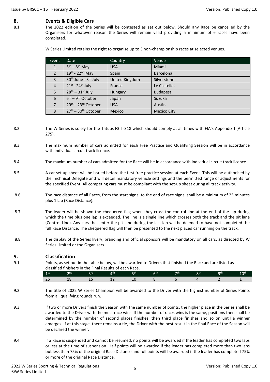### **8. Events & Eligible Cars**

8.1 The 2022 edition of the Series will be contested as set out below. Should any Race be cancelled by the Organisers for whatever reason the Series will remain valid providing a minimum of 6 races have been completed.

W Series Limited retains the right to organise up to 3 non-championship races at selected venues.

| Event                    | Date                                         | Country        | Venue              |
|--------------------------|----------------------------------------------|----------------|--------------------|
| 1                        | $5th - 8th$ May                              | <b>USA</b>     | Miami              |
| $\overline{\phantom{a}}$ | $19th - 22nd$ May                            | Spain          | <b>Barcelona</b>   |
| 3                        | 30 <sup>th</sup> June - 3 <sup>rd</sup> July | United Kingdom | Silverstone        |
| $\overline{4}$           | $21^{st}$ - $24^{th}$ July                   | France         | Le Castellet       |
| 5                        | $28th - 31st$ July                           | Hungary        | <b>Budapest</b>    |
| 6                        | $6th - 9th October$                          | Japan          | Suzuka             |
|                          | $20th - 23rd October$                        | <b>USA</b>     | Austin             |
| 8                        | $27th - 30th October$                        | <b>Mexico</b>  | <b>Mexico City</b> |

8.2 The W Series is solely for the Tatuus F3 T-318 which should comply at all times with FIA's Appendix J (Article 275).

- 8.3 The maximum number of cars admitted for each Free Practice and Qualifying Session will be in accordance with individual circuit track licence.
- 8.4 The maximum number of cars admitted for the Race will be in accordance with individual circuit track licence.
- 8.5 A car set up sheet will be issued before the first free practice session at each Event. This will be authorised by the Technical Delegate and will detail mandatory vehicle settings and the permitted range of adjustments for the specified Event. All competing cars must be compliant with the set-up sheet during all track activity.
- 8.6 The race distance of all Races, from the start signal to the end of race signal shall be a minimum of 25 minutes plus 1 lap (Race Distance).
- 8.7 The leader will be shown the chequered flag when they cross the control line at the end of the lap during which the time plus one lap is exceeded. The line is a single line which crosses both the track and the pit lane (Control Line). Any cars that enter the pit lane during the last lap will be deemed to have not completed the full Race Distance. The chequered flag will then be presented to the next placed car running on the track.
- 8.8 The display of the Series livery, branding and official sponsors will be mandatory on all cars, as directed by W Series Limited or the Organisers.

### **9. Classification**

9.1 Points, as set out in the table below, will be awarded to Drivers that finished the Race and are listed as classified finishers in the Final Results of each Race.

| - 1 3 4      | na, |            |    | u 1 | 79. | oth | ∩th |
|--------------|-----|------------|----|-----|-----|-----|-----|
| $\sim$<br>بے |     | . .<br>$-$ | -- |     |     |     |     |

- 9.2 The title of 2022 W Series Champion will be awarded to the Driver with the highest number of Series Points from all qualifying rounds run.
- 9.3 If two or more Drivers finish the Season with the same number of points, the higher place in the Series shall be awarded to the Driver with the most race wins. If the number of races wins is the same, positions then shall be determined by the number of second places finishes, then third place finishes and so on until a winner emerges. If at this stage, there remains a tie, the Driver with the best result in the final Race of the Season will be declared the winner.
- 9.4 If a Race is suspended and cannot be resumed, no points will be awarded if the leader has completed two laps or less at the time of suspension. Half points will be awarded if the leader has completed more than two laps but less than 75% of the original Race Distance and full points will be awarded if the leader has completed 75% or more of the original Race Distance.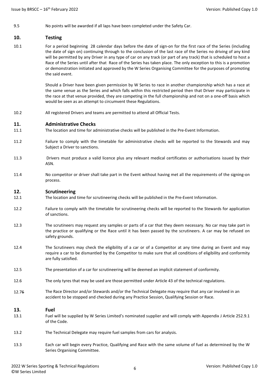9.5 No points will be awarded if all laps have been completed under the Safety Car.

### **10. Testing**

10.1 For a period beginning 28 calendar days before the date of sign-on for the first race of the Series (including the date of sign on) continuing through to the conclusion of the last race of the Series no driving of any kind will be permitted by any Driver in any type of car on any track (or part of any track) that is scheduled to host a Race of the Series until after that Race of the Series has taken place. The only exception to this is a promotion or demonstration initiated and approved by the W Series Organising Committee for the purposes of promoting the said event.

> Should a Driver have been given permission by W Series to race in another championship which has a race at the same venue as the Series and which falls within this restricted period then that Driver may participate in the race at that venue provided, they are competing in the full championship and not on a one-off basis which would be seen as an attempt to circumvent these Regulations.

10.2 All registered Drivers and teams are permitted to attend all Official Tests.

### **11. Administrative Checks**

- 11.1 The location and time for administrative checks will be published in the Pre-Event Information.
- 11.2 Failure to comply with the timetable for administrative checks will be reported to the Stewards and may Subject a Driver to sanctions.
- 11.3 Drivers must produce a valid licence plus any relevant medical certificates or authorisations issued by their ASN.
- 11.4 No competitor or driver shall take part in the Event without having met all the requirements of the signing-on process.

### **12. Scrutineering**

- 12.1 The location and time for scrutineering checks will be published in the Pre-Event Information.
- 12.2 Failure to comply with the timetable for scrutineering checks will be reported to the Stewards for application of sanctions.
- 12.3 The scrutineers may request any samples or parts of a car that they deem necessary. No car may take part in the practice or qualifying or the Race until it has been passed by the scrutineers. A car may be refused on safety grounds.
- 12.4 The Scrutineers may check the eligibility of a car or of a Competitor at any time during an Event and may require a car to be dismantled by the Competitor to make sure that all conditions of eligibility and conformity are fully satisfied.
- 12.5 The presentation of a car for scrutineering will be deemed an implicit statement of conformity.
- 12.6 The only tyres that may be used are those permitted under Article 43 of the technical regulations.
- 12.76 The Race Director and/or Stewards and/or the Technical Delegate may require that any car involved in an accident to be stopped and checked during any Practice Session, Qualifying Session or Race.

### **13. Fuel**

- 13.1 Fuel will be supplied by W Series Limited's nominated supplier and will comply with Appendix J Article 252.9.1 of the Code.
- 13.2 The Technical Delegate may require fuel samples from cars for analysis.
- 13.3 Each car will begin every Practice, Qualifying and Race with the same volume of fuel as determined by the W Series Organising Committee.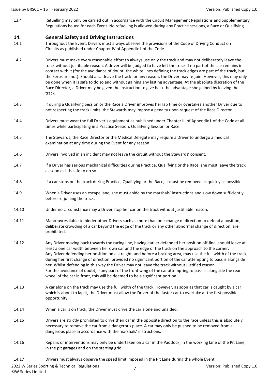13.4 Refuelling may only be carried out in accordance with the Circuit Management Regulations and Supplementary Regulations issued for each Event. No refuelling is allowed during any Practice sessions, a Race or Qualifying.

### **14. General Safety and Driving Instructions**

- 14.1 Throughout the Event, Drivers must always observe the provisions of the Code of Driving Conduct on Circuits as published under Chapter IV of Appendix L of the Code.
- 14.2 Drivers must make every reasonable effort to always use only the track and may not deliberately leave the track without justifiable reason. A driver will be judged to have left the track if no part of the car remains in contact with it (for the avoidance of doubt, the white lines defining the track edges are part of the track, but the kerbs are not). Should a car leave the track for any reason, the Driver may re-join. However, this may only be done when it is safe to do so and without gaining any lasting advantage. At the absolute discretion of the Race Director, a Driver may be given the instruction to give back the advantage she gained by leaving the track.
- 14.3 If during a Qualifying Session or the Race a Driver improves her lap time or overtakes another Driver due to not respecting the track limits, the Stewards may impose a penalty upon request of the Race Director.
- 14.4 Drivers must wear the full Driver's equipment as published under Chapter III of Appendix L of the Code at all times while participating in a Practice Session, Qualifying Session or Race.
- 14.5 The Stewards, the Race Director or the Medical Delegate may require a Driver to undergo a medical examination at any time during the Event for any reason.
- 14.6 Drivers involved in an incident may not leave the circuit without the Stewards' consent.
- 14.7 If a Driver has serious mechanical difficulties during Practice, Qualifying or the Race, she must leave the track as soon as it is safe to do so.
- 14.8 If a car stops on the track during Practice, Qualifying or the Race, it must be removed as quickly as possible.
- 14.9 When a Driver uses an escape lane, she must abide by the marshals' instructions and slow down sufficiently before re-joining the track.
- 14.10 Under no circumstance may a Driver stop her car on the track without justifiable reason.
- 14.11 Manœuvres liable to hinder other Drivers such as more than one change of direction to defend a position, deliberate crowding of a car beyond the edge of the track or any other abnormal change of direction, are prohibited.
- 14.12 Any Driver moving back towards the racing line, having earlier defended her position off-line, should leave at least a one car width between her own car and the edge of the track on the approach to the corner. Any Driver defending her position on a straight, and before a braking area, may use the full width of the track, during her first change of direction, provided no significant portion of the car attempting to pass is alongside her. Whilst defending in this way the Driver may not leave the track without justified reason. For the avoidance of doubt, if any part of the front wing of the car attempting to pass is alongside the rear wheel of the car in front, this will be deemed to be a significant portion.
- 14.13 A car alone on the track may use the full width of the track. However, as soon as that car is caught by a car which is about to lap it, the Driver must allow the Driver of the faster car to overtake at the first possible opportunity.
- 14.14 When a car is on track, the Driver must drive the car alone and unaided.
- 14.15 Drivers are strictly prohibited to drive their car in the opposite direction to the race unless this is absolutely necessary to remove the car from a dangerous place. A car may only be pushed to be removed from a dangerous place in accordance with the marshals' instructions.
- 14.16 Repairs or interventions may only be undertaken on a car in the Paddock, in the working lane of the Pit Lane, in the pit garages and on the starting grid.
- 14.17 Drivers must always observe the speed limit imposed in the Pit Lane during the whole Event.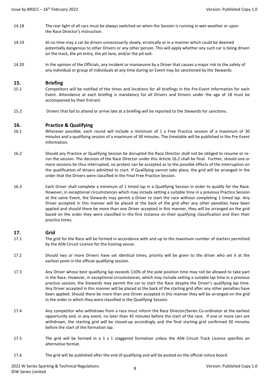- 14.18 The rear light of all cars must be always switched on when the Session is running in wet-weather or upon the Race Director's instruction.
- 14.19 At no time may a car be driven unnecessarily slowly, erratically or in a manner which could be deemed potentially dangerous to other Drivers or any other person. This will apply whether any such car is being driven on the track, the pit entry, the pit lane, and/or the pit exit.
- 14.20 In the opinion of the Officials, any incident or manoeuvre by a Driver that causes a major risk to the safety of any individual or group of individuals at any time during an Event may be sanctioned by the Stewards.

### **15. Briefing**

- 15.1 Competitors will be notified of the times and locations for all briefings in the Pre-Event Information for each Event. Attendance at each briefing is mandatory for all Drivers and Drivers under the age of 18 must be accompanied by their Entrant.
- 15.2 Drivers that fail to attend or arrive late at a briefing will be reported to the Stewards for sanctions.

### **16. Practice & Qualifying**

- 16.1 Wherever possible, each round will include a minimum of 1 x Free Practice session of a maximum of 30 minutes and a qualifying session of a maximum of 30 minutes. The timetable will be published in the Pre-Event information.
- 16.2 Should any Practice or Qualifying Session be disrupted the Race Director shall not be obliged to resume or rerun the session. The decision of the Race Director under this Article 16.2 shall be final. Further, should one or more sessions be thus interrupted, no protest can be accepted as to the possible effects of the interruption on the qualification of drivers admitted to start. If Qualifying cannot take place, the grid will be arranged in the order that the Drivers were classified in the Final Free Practice Session.
- 16.3 Each Driver shall complete a minimum of 1 timed lap in a Qualifying Session in order to qualify for the Race. However, in exceptional circumstances which may include setting a suitable time in a previous Practice Session at the same Event, the Stewards may permit a Driver to start the race without completing 1 timed lap. Any Driver accepted in this manner will be placed at the back of the grid after any other penalties have been applied and should there be more than one Driver accepted in this manner, they will be arranged on the grid based on the order they were classified in the first instance on their qualifying classification and then their practice times.

### **17. Grid**

- 17.1 The grid for the Race will be formed in accordance with and up to the maximum number of starters permitted by the ASN Circuit Licence for the hosting venue.
- 17.2 Should two or more Drivers have set identical times, priority will be given to the driver who set it at the earliest point in the official qualifying session.
- 17.3 Any Driver whose best qualifying lap exceeds 110% of the pole position time may not be allowed to take part in the Race. However, in exceptional circumstances, which may include setting a suitable lap time in a previous practice session, the Stewards may permit the car to start the Race despite the Driver's qualifying lap time. Any Driver accepted in this manner will be placed at the back of the starting grid after any other penalties have been applied. Should there be more than one Driver accepted in this manner they will be arranged on the grid in the order in which they were classified in the Qualifying Session.
- 17.4 Any competitor who withdraws from a race must inform the Race Director/Series Co-ordinator at the earliest opportunity and, in any event, no later than 45 minutes before the start of the race. If one or more cars are withdrawn, the starting grid will be closed-up accordingly and the final starting grid confirmed 30 minutes before the start of the formation lap.
- 17.5 The grid will be formed in a 1 x 1 staggered formation unless the ASN Circuit Track Licence specifies an alternative format.
- 17.6 The grid will be published after the end of qualifying and will be posted on the official notice board.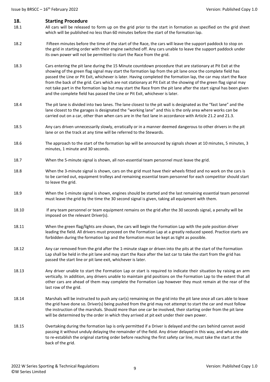### **18. Starting Procedure**

- 18.1 All cars will be released to form up on the grid prior to the start in formation as specified on the grid sheet which will be published no less than 60 minutes before the start of the formation lap.
- 18.2 Fifteen minutes before the time of the start of the Race, the cars will leave the support paddock to stop on the grid in starting order with their engine switched off. Any cars unable to leave the support paddock under its own power will not be permitted to start the Race from the grid.
- 18.3 Cars entering the pit lane during the 15 Minute countdown procedure that are stationary at Pit Exit at the showing of the green flag signal may start the formation lap from the pit lane once the complete field has passed the Line or Pit Exit, whichever is later. Having completed the formation lap, the car may start the Race from the back of the grid. Cars which are not stationary at Pit Exit at the showing of the green flag signal may not take part in the formation lap but may start the Race from the pit lane after the start signal has been given and the complete field has passed the Line or Pit Exit, whichever is later.
- 18.4 The pit lane is divided into two lanes. The lane closest to the pit wall is designated as the "fast lane" and the lane closest to the garages is designated the "working lane" and this is the only area where works can be carried out on a car, other than when cars are in the fast lane in accordance with Article 21.2 and 21.3.
- 18.5 Any cars driven unnecessarily slowly, erratically or in a manner deemed dangerous to other drivers in the pit lane or on the track at any time will be referred to the Stewards.
- 18.6 The approach to the start of the formation lap will be announced by signals shown at 10 minutes, 5 minutes, 3 minutes, 1 minute and 30 seconds.
- 18.7 When the 5-minute signal is shown, all non-essential team personnel must leave the grid.
- 18.8 When the 3-minute signal is shown, cars on the grid must have their wheels fitted and no work on the cars is to be carried out, equipment trolleys and remaining essential team personnel for each competitor should start to leave the grid.
- 18.9 When the 1-minute signal is shown, engines should be started and the last remaining essential team personnel must leave the grid by the time the 30 second signal is given, taking all equipment with them.
- 18.10 If any team personnel or team equipment remains on the grid after the 30 seconds signal, a penalty will be imposed on the relevant Driver(s).
- 18.11 When the green flag/lights are shown, the cars will begin the Formation Lap with the pole position driver leading the field. All drivers must proceed on the Formation Lap at a greatly reduced speed. Practice starts are forbidden during the formation lap and the formation must be kept as tight as possible.
- 18.12 Any car removed from the grid after the 1-minute stage or driven into the pits at the start of the Formation Lap shall be held in the pit lane and may start the Race after the last car to take the start from the grid has passed the start line or pit lane exit, whichever is later.
- 18.13 Any driver unable to start the Formation Lap or start is required to indicate their situation by raising an arm vertically. In addition, any drivers unable to maintain grid positions on the Formation Lap to the extent that all other cars are ahead of them may complete the Formation Lap however they must remain at the rear of the last row of the grid.
- 18.14 Marshals will be instructed to push any car(s) remaining on the grid into the pit lane once all cars able to leave the grid have done so. Driver(s) being pushed from the grid may not attempt to start the car and must follow the instruction of the marshals. Should more than one car be involved, their starting order from the pit lane will be determined by the order in which they arrived at pit exit under their own power.
- 18.15 Overtaking during the formation lap is only permitted if a Driver is delayed and the cars behind cannot avoid passing it without unduly delaying the remainder of the field. Any driver delayed in this way, and who are able to re-establish the original starting order before reaching the first safety car line, must take the start at the back of the grid.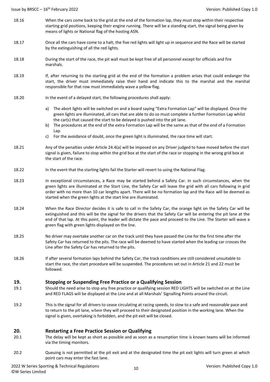- 18.16 When the cars come back to the grid at the end of the formation lap, they must stop within their respective starting grid positions, keeping their engine running. There will be a standing start, the signal being given by means of lights or National flag of the hosting ASN.
- 18.17 Once all the cars have come to a halt, the five red lights will light up in sequence and the Race will be started by the extinguishing of all the red lights.
- 18.18 During the start of the race, the pit wall must be kept free of all personnel except for officials and fire marshals.
- 18.19 If, after returning to the starting grid at the end of the formation a problem arises that could endanger the start, the driver must immediately raise their hand and indicate this to the marshal and the marshal responsible for that row must immediately wave a yellow flag.
- 18.20 In the event of a delayed start, the following procedures shall apply:
	- a) The abort lights will be switched on and a board saying "Extra Formation Lap" will be displayed. Once the green lights are illuminated, all cars that are able to do so must complete a further Formation Lap whilst the car(s) that caused the start to be delayed is pushed into the pit lane.
	- b) The procedures at the end of the extra Formation Lap will be the same as that of the end of a Formation Lap.
	- c) For the avoidance of doubt, once the green light is illuminated, the race time will start.
- 18.21 Any of the penalties under Article 24.4(a) will be imposed on any Driver judged to have moved before the start signal is given, failure to stop within the grid box at the start of the race or stopping in the wrong grid box at the start of the race.
- 18.22 In the event that the starting lights fail the Starter will revert to using the National Flag.
- 18.23 In exceptional circumstances, a Race may be started behind a Safety Car. In such circumstances, when the green lights are illuminated at the Start Line, the Safety Car will leave the grid with all cars following in grid order with no more than 10 car lengths apart. There will be no formation lap and the Race will be deemed as started when the green lights at the start line are illuminated.
- 18.24 When the Race Director decides it is safe to call in the Safety Car, the orange light on the Safety Car will be extinguished and this will be the signal for the drivers that the Safety Car will be entering the pit lane at the end of that lap. At this point, the leader will dictate the pace and proceed to the Line. The Starter will wave a green flag with green lights displayed on the line.
- 18.25 No driver may overtake another car on the track until they have passed the Line for the first time after the Safety Car has returned to the pits. The race will be deemed to have started when the leading car crosses the Line after the Safety Car has returned to the pits.
- 18.26 If after several formation laps behind the Safety Car, the track conditions are still considered unsuitable to start the race, the start procedure will be suspended. The procedures set out in Article 21 and 22 must be followed.

### **19. Stopping or Suspending Free Practice or a Qualifying Session**

- 19.1 Should the need arise to stop any free practice or qualifying session RED LIGHTS will be switched on at the Line and RED FLAGS will be displayed at the Line and at all Marshals' Signalling Points around the circuit.
- 19.2 This is the signal for all drivers to cease circulating at racing speeds, to slow to a safe and reasonable pace and to return to the pit lane, where they will proceed to their designated position in the working lane. When the signal is given, overtaking is forbidden, and the pit exit will be closed.

### **20. Restarting a Free Practice Session or Qualifying**

- 20.1 The delay will be kept as short as possible and as soon as a resumption time is known teams will be informed via the timing monitors.
- 20.2 Queuing is not permitted at the pit exit and at the designated time the pit exit lights will turn green at which point cars may enter the fast lane.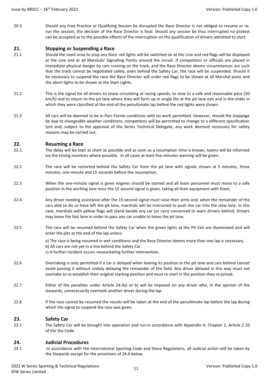20.3 Should any Free Practice or Qualifying Session be disrupted the Race Director is not obliged to resume or rerun the session; the decision of the Race Director is final. Should any session be thus interrupted no protest can be accepted as to the possible effects of the interruption on the qualification of drivers admitted to start.

### **21. Stopping or Suspending a Race**

- 21.1 Should the need arise to stop any Race red lights will be switched on at the Line and red flags will be displayed at the Line and at all Marshals' Signalling Points around the circuit. If competitors or officials are placed in immediate physical danger by cars running on the track, and the Race Director deems circumstances are such that the track cannot be negotiated safely, even behind the Safety Car, the race will be suspended. Should it be necessary to suspend the race the Race Director will order red flags to be shown at all Marshal posts and the abort lights to be shown at the Start Lights.
- 21.2 This is the signal for all drivers to cease circulating at racing speeds, to slow to a safe and reasonable pace (50 km/h) and to return to the pit lane where they will form up in single file at the pit lane exit and in the order in which they were classified at the end of the penultimate lap before the red lights were shown.
- 21.3 All cars will be deemed to be in Parc Ferme conditions with no work permitted. However, should the stoppage be due to changeable weather conditions, competitors will be permitted to change to a different specification tyre and, subject to the approval of the Series Technical Delegate, any work deemed necessary for safety reasons may be carried out.

### **22. Resuming a Race**

- 22.1 The delay will be kept as short as possible and as soon as a resumption time is known, teams will be informed via the timing monitors where possible. In all cases at least five minutes warning will be given.
- 22.2 The race will be restarted behind the Safety Car from the pit lane with signals shown at 5 minutes, three minutes, one minute and 15 seconds before the resumption.
- 22.3 When the one-minute signal is given engines should be started and all team personnel must move to a safe position in the working lane once the 15 second signal is given, taking all their equipment with them.
- 22.4 Any driver needing assistance after the 15-second signal must raise their arms and, when the remainder of the cars able to do so have left the pit lane, marshals will be instructed to push the car into the slow lane. In this case, marshals with yellow flags will stand beside any car (or cars) concerned to warn drivers behind. Drivers may leave the fast lane in order to pass any car unable to leave the pit lane.
- 22.5 The race will be resumed behind the Safety Car when the green lights at the Pit Exit are illuminated and will enter the pits at the end of the lap unless:

a) The race is being resumed in wet conditions and the Race Director deems more than one lap is necessary. b) All cars are not yet in a line behind the Safety Car.

c) A further incident occurs necessitating further intervention.

- 22.6 Overtaking is only permitted if a car is delayed when leaving its position in the pit lane and cars behind cannot avoid passing it without unduly delaying the remainder of the field. Any driver delayed in this way must not overtake to re-establish their original starting position and must re-start in the position they re-joined.
- 22.7 Either of the penalties under Article 24.4a) or b) will be imposed on any driver who, in the opinion of the stewards, unnecessarily overtook another driver during the lap.
- 22.8 If the race cannot be resumed the results will be taken at the end of the penultimate lap before the lap during which the signal to suspend the race was given.

### **23. Safety Car**

23.1 The Safety Car will be brought into operation and run-in accordance with Appendix H, Chapter 2, Article 2.10 of the the Code.

### **24. Judicial Procedures**

24.1 In accordance with the International Sporting Code and these Regulations, all Judicial action will be taken by the Stewards except for the provisions of 24.6 below.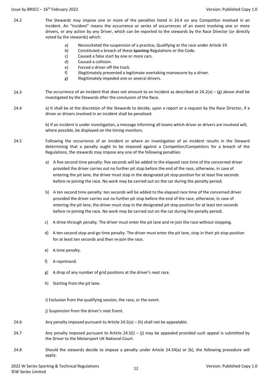- 24.2 The Stewards may impose one or more of the penalties listed in 24.4 on any Competitor involved in an Incident. An "Incident" means the occurrence or series of occurrences of an event involving one or more drivers, or any action by any Driver, which can be reported to the stewards by the Race Director (or directly noted by the stewards) which:
	- a) Necessitated the suspension of a practice, Qualifying or the race under Article 19.
	- b) Constituted a breach of these Sporting Regulations or the Code.
	- c) Caused a false start by one or more cars.
	- d) Caused a collision.
	- e) Forced a driver off the track.
	- f) Illegitimately prevented a legitimate overtaking manoeuvre by a driver.
	- g) Illegitimately impeded one or several drivers.
- 24.3 The occurrence of an incident that does not amount to an Incident as described at  $24.2(a) - (g)$  above shall be investigated by the Stewards after the conclusion of the Race.
- 24.4 a) It shall be at the discretion of the Stewards to decide, upon a report or a request by the Race Director, if a driver or drivers involved in an incident shall be penalised.

b) If an incident is under investigation, a message informing all teams which driver or drivers are involved will, where possible, be displayed on the timing monitors.

- 24.5 Following the occurrence of an Incident or where an investigation of an incident results in the Steward determining that a penalty ought to be imposed against a Competitor/Competitors for a breach of the Regulations, the stewards may impose any one of the following penalties:
	- a) A five second time penalty: five seconds will be added to the elapsed race time of the concerned driver provided the driver carries out no further pit stop before the end of the race, otherwise, in case of entering the pit lane, the driver must stop in the designated pit stop position for at least five seconds before re-joining the race. No work may be carried out on the car during the penalty period.
	- b) A ten second time penalty: ten seconds will be added to the elapsed race time of the concerned driver provided the driver carries out no further pit stop before the end of the race, otherwise, in case of entering the pit lane, the driver must stop in the designated pit stop position for at least ten seconds before re-joining the race. No work may be carried out on the car during the penalty period.
	- c) A drive-through penalty. The driver must enter the pit lane and re-join the race without stopping.
	- d) A ten-second stop-and-go time penalty. The driver must enter the pit lane, stop in their pit stop position for at least ten seconds and then re-join the race.
	- e) A time penalty.
	- f) A reprimand.
	- g) A drop of any number of grid positions at the driver's next race.
	- h) Starting from the pit lane.
	- i) Exclusion from the qualifying session, the race, or the event.

j) Suspension from the driver's next Event.

- 24.6 Any penalty imposed pursuant to Article 24.5(a) (h) shall not be appealable.
- 24.7 Any penalty imposed pursuant to Article 24.5(i) (j) may be appealed provided such appeal is submitted by the Driver to the Motorsport UK National Court.
- 24.8 Should the stewards decide to impose a penalty under Article 24.54(a) or (b), the following procedure will apply: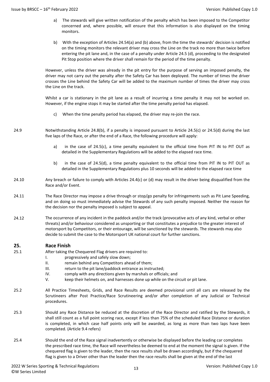- a) The stewards will give written notification of the penalty which has been imposed to the Competitor concerned and, where possible, will ensure that this information is also displayed on the timing monitors.
- b) With the exception of Articles 24.54(a) and (b) above, from the time the stewards' decision is notified on the timing monitors the relevant driver may cross the Line on the track no more than twice before entering the pit lane and, in the case of a penalty under Article 24.5 (d), proceeding to the designated Pit Stop position where the driver shall remain for the period of the time penalty.

However, unless the driver was already in the pit entry for the purpose of serving an imposed penalty, the driver may not carry out the penalty after the Safety Car has been deployed. The number of times the driver crosses the Line behind the Safety Car will be added to the maximum number of times the driver may cross the Line on the track.

Whilst a car is stationary in the pit lane as a result of incurring a time penalty it may not be worked on. However, if the engine stops it may be started after the time penalty period has elapsed.

- c) When the time penalty period has elapsed, the driver may re-join the race.
- 24.9 Notwithstanding Article 24.8(b), if a penalty is imposed pursuant to Article 24.5(c) or 24.5(d) during the last five laps of the Race, or after the end of a Race, the following procedure will apply:
	- a) in the case of 24.5(c), a time penalty equivalent to the official time from PIT IN to PIT OUT as detailed in the Supplementary Regulations will be added to the elapsed race time.
	- b) in the case of 24.5(d), a time penalty equivalent to the official time from PIT IN to PIT OUT as detailed in the Supplementary Regulations plus 10 seconds will be added to the elapsed race time
- 24.10 Any breach or failure to comply with Articles 24.4(c) or (d) may result in the driver being disqualified from the Race and/or Event.
- 24.11 The Race Director may impose a drive through or stop/go penalty for infringements such as Pit Lane Speeding, and on doing so must immediately advise the Stewards of any such penalty imposed. Neither the reason for the decision nor the penalty imposed is subject to appeal.
- 24.12 The occurrence of any incident in the paddock and/or the track (provocative acts of any kind, verbal or other threats) and/or behaviour considered as unsporting or that constitutes a prejudice to the greater interest of motorsport by Competitors, or their entourage, will be sanctioned by the stewards. The stewards may also decide to submit the case to the Motorsport UK national court for further sanctions.

### **25. Race Finish**

- 25.1 After taking the Chequered Flag drivers are required to:
	- I. progressively and safely slow down;
	- II. remain behind any Competitors ahead of them;
	- III. return to the pit lane/paddock entrance as instructed;
	- IV. comply with any directions given by marshals or officials; and
	- V. keep their helmets on, and harnesses done up while on the circuit or pit lane.
- 25.2 All Practice Timesheets, Grids, and Race Results are deemed provisional until all cars are released by the Scrutineers after Post Practice/Race Scrutineering and/or after completion of any Judicial or Technical procedures.
- 25.3 Should any Race Distance be reduced at the discretion of the Race Director and ratified by the Stewards, it shall still count as a full point scoring race, except if less than 75% of the scheduled Race Distance or duration is completed, in which case half points only will be awarded, as long as more than two laps have been completed. (Article 9.4 refers)
- 25.4 Should the end of the Race signal inadvertently or otherwise be displayed before the leading car completes the prescribed race time, the Race will nevertheless be deemed to end at the moment the signal is given. If the chequered flag is given to the leader, then the race results shall be drawn accordingly, but if the chequered flag is given to a Driver other than the leader then the race results shall be given at the end of the last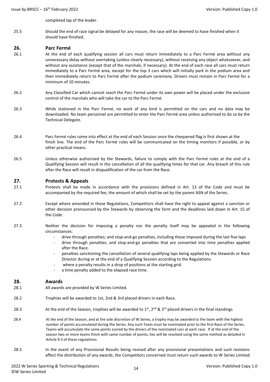completed lap of the leader.

25.5 Should the end of race signal be delayed for any reason, the race will be deemed to have finished when it should have finished.

### **26. Parc Fermé**

- 26.1 At the end of each qualifying session all cars must return immediately to a Parc Fermé area without any unnecessary delay without overtaking (unless clearly necessary), without receiving any object whatsoever, and without any assistance (except that of the marshals, if necessary). At the end of each race all cars must return immediately to a Parc Fermé area, except for the top 3 cars which will initially park in the podium area and then immediately return to Parc Fermé after the podium ceremony. Drivers must remain in Parc Fermé for a minimum of 10 minutes.
- 26.2 Any Classified Car which cannot reach the Parc Fermé under its own power will be placed under the exclusive control of the marshals who will take the car to the Parc Fermé.
- 26.3 While stationed in the Parc Fermé, no work of any kind is permitted on the cars and no data may be downloaded. No team personnel are permitted to enter the Parc Fermé area unless authorised to do so by the Technical Delegate.
- 26.4 Parc Fermé rules come into effect at the end of each Session once the chequered flag is first shown at the finish line. The end of the Parc Fermé rules will be communicated on the timing monitors if possible, or by other practical means.
- 26.5 Unless otherwise authorised by the Stewards, failure to comply with the Parc Fermé rules at the end of a Qualifying Session will result in the cancellation of all the qualifying times for that car. Any breach of this rule after the Race will result in disqualification of the car from the Race.

#### **27. Protests & Appeals**

- 27.1 Protests shall be made in accordance with the provisions defined in Art. 13 of the Code and must be accompanied by the required fee, the amount of which shall be set by the parent ASN of the Series.
- 27.2 Except where amended in these Regulations, Competitors shall have the right to appeal against a sanction or other decision pronounced by the Stewards by observing the form and the deadlines laid down in Art. 15 of the Code.
- 27.3 Neither the decision for imposing a penalty nor the penalty itself may be appealed in the following circumstances:
	- drive through penalties; and stop-and-go penalties, including those imposed during the last five laps
	- drive through penalties; and stop-and-go penalties that are converted into time penalties applied after the Race.
	- penalties sanctioning the cancellation of several qualifying laps being applied by the Stewards or Race Director during or at the end of a Qualifying Session according to the Regulations.
	- where a penalty results in a drop of positions at the starting grid.
	- a time penalty added to the elapsed race time.

### **28. Awards**

- 28.1 All awards are provided by W Series Limited.
- 28.2 Trophies will be awarded to 1st, 2nd & 3rd placed drivers in each Race.
- 28.3 At the end of the Season, trophies will be awarded to  $1^{st}$ ,  $2^{nd}$  &  $3^{rd}$  placed drivers in the final standings
- 28.4 At the end of the Season, and at the sole discretion of W Series, a trophy may be awarded to the team with the highest number of points accumulated during the Series. Any such Team must be nominated prior to the first Race of the Series. Teams will accumulate the same points scored by the drivers of the nominated cars at each race. If at the end of the season two or more teams finish with same number of points, ties will be resolved using the same method as detailed in Article 9.3 of these regulations.
- 28.5 In the event of any Provisional Results being revised after any provisional presentations and such revisions affect the distribution of any awards, the Competitors concerned must return such awards to W Series Limited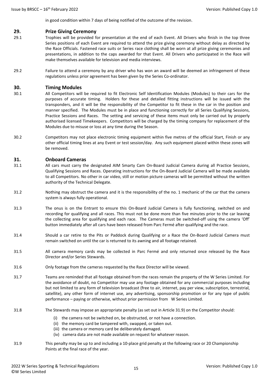in good condition within 7 days of being notified of the outcome of the revision.

### **29. Prize Giving Ceremony**

- 29.1 Trophies will be provided for presentation at the end of each Event. All Drivers who finish in the top three Series positions of each Event are required to attend the prize giving ceremony without delay as directed by the Race Officials. Fastened race suits or Series race clothing shall be worn at all prize giving ceremonies and presentations, in addition to the caps awarded for that Event. All Drivers who participated in the Race will make themselves available for television and media interviews.
- 29.2 Failure to attend a ceremony by any driver who has won an award will be deemed an infringement of these regulations unless prior agreement has been given by the Series Co-ordinator.

### **30. Timing Modules**

- 30.1 All Competitors will be required to fit Electronic Self Identification Modules (Modules) to their cars for the purposes of accurate timing. Holders for these and detailed fitting instructions will be issued with the transponders, and it will be the responsibility of the Competitor to fit these in the car in the position and manner specified. The Modules must be in place and functioning correctly for all Series Qualifying Sessions, Practice Sessions and Races. The setting and servicing of these items must only be carried out by properly authorised licensed Timekeepers. Competitors will be charged by the timing company for replacement of the Modules due to misuse or loss at any time during the Season.
- 30.2 Competitors may not place electronic timing equipment within five metres of the official Start, Finish or any other official timing lines at any Event or test session/day. Any such equipment placed within these zones will be removed.

### **31. Onboard Cameras**

- 31.1 All cars must carry the designated AIM Smarty Cam On-Board Judicial Camera during all Practice Sessions, Qualifying Sessions and Races. Operating instructions for the On-Board Judicial Camera will be made available to all Competitors. No other in car video, still or motion picture cameras will be permitted without the written authority of the Technical Delegate.
- 31.2 Nothing may obstruct the camera and it is the responsibility of the no. 1 mechanic of the car that the camera system is always fully operational.
- 31.3 The onus is on the Entrant to ensure this On-Board Judicial Camera is fully functioning, switched on and recording for qualifying and all races. This must not be done more than five minutes prior to the car leaving the collecting area for qualifying and each race. The Cameras must be switched-off using the camera 'Off' button immediately after all cars have been released from Parc Fermé after qualifying and the race.
- 31.4 Should a car retire to the Pits or Paddock during Qualifying or a Race the On-Board Judicial Camera must remain switched on until the car is returned to its awning and all footage retained.
- 31.5 All camera memory cards may be collected in Parc Fermé and only returned once released by the Race Director and/or Series Stewards.
- 31.6 Only footage from the cameras requested by the Race Director will be viewed.
- 31.7 Teams are reminded that all footage obtained from the races remain the property of the W Series Limited. For the avoidance of doubt, no Competitor may use any footage obtained for any commercial purposes including but not limited to any form of television broadcast (free to air, internet, pay per view, subscription, terrestrial, satellite), any other form of internet use, any advertising, sponsorship promotion or for any type of public performance – paying or otherwise, without prior permission from W Series Limited.
- 31.8 The Stewards may impose an appropriate penalty (as set out in Article 31.9) on the Competitor should:
	- (i) the camera not be switched on, be obstructed, or not have a connection.
	- (ii) the memory card be tampered with, swapped, or taken out.
	- (iii) the camera or memory card be deliberately damaged.
	- (iv) camera data are not made available on request for whatever reason.
- 31.9 This penalty may be up to and including a 10-place grid penalty at the following race or 20 Championship Points at the final race of the year.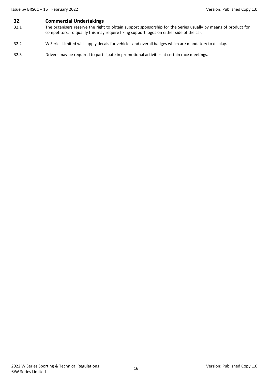## **32. Commercial Undertakings**<br>**32.1** The organisers reserve the right

- The organisers reserve the right to obtain support sponsorship for the Series usually by means of product for competitors. To qualify this may require fixing support logos on either side of the car.
- 32.2 W Series Limited will supply decals for vehicles and overall badges which are mandatory to display.
- 32.3 Drivers may be required to participate in promotional activities at certain race meetings.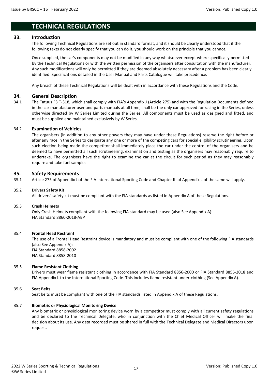### **TECHNICAL REGULATIONS**

### **33. Introduction**

The following Technical Regulations are set out in standard format, and it should be clearly understood that if the following texts do not clearly specify that you can do it, you should work on the principle that you cannot.

Once supplied, the car's components may not be modified in any way whatsoever except where specifically permitted by the Technical Regulations or with the written permission of the organisers after consultation with the manufacturer. Any such modifications will only be permitted if they are deemed absolutely necessary after a problem has been clearly identified. Specifications detailed in the User Manual and Parts Catalogue will take precedence.

Any breach of these Technical Regulations will be dealt with in accordance with these Regulations and the Code.

### **34. General Description**

34.1 The Tatuus F3 T-318, which shall comply with FIA's Appendix J (Article 275) and with the Regulation Documents defined in the car manufacturer user and parts manuals at all time, shall be the only car approved for racing in the Series, unless otherwise directed by W Series Limited during the Series. All components must be used as designed and fitted, and must be supplied and maintained exclusively by W Series.

### 34.2 **Examination of Vehicles**

The organisers (in addition to any other powers they may have under these Regulations) reserve the right before or after any race in the Series to designate any one or more of the competing cars for special eligibility scrutineering. Upon such election being made the competitor shall immediately place the car under the control of the organisers and be deemed to have permitted all such scrutineering, examination and testing as the organisers may reasonably require to undertake. The organisers have the right to examine the car at the circuit for such period as they may reasonably require and take fuel samples.

### **35. Safety Requirements**

35.1 Article 275 of Appendix J of the FIA International Sporting Code and Chapter III of Appendix L of the same will apply.

### 35.2 **Drivers Safety Kit**

All drivers' safety kit must be compliant with the FIA standards as listed in Appendix A of these Regulations.

### 35.3 **Crash Helmets**

Only Crash Helmets compliant with the following FIA standard may be used (also See Appendix A): FIA Standard 8860-2018-ABP

### 35.4 **Frontal Head Restraint**

The use of a Frontal Head Restraint device is mandatory and must be compliant with one of the following FIA standards (also See Appendix A): FIA Standard 8858-2002 FIA Standard 8858-2010

### 35.5 **Flame Resistant Clothing**

Drivers must wear flame resistant clothing in accordance with FIA Standard 8856-2000 or FIA Standard 8856-2018 and FIA Appendix L to the International Sporting Code. This includes flame resistant under-clothing (See Appendix A).

### 35.6 **Seat Belts**

Seat belts must be compliant with one of the FIA standards listed in Appendix A of these Regulations.

### 35.7 **Biometric or Physiological Monitoring Device**

Any biometric or physiological monitoring device worn by a competitor must comply with all current safety regulations and be declared to the Technical Delegate, who in conjunction with the Chief Medical Officer will make the final decision about its use. Any data recorded must be shared in full with the Technical Delegate and Medical Directors upon request.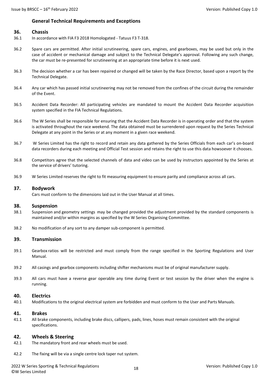### **General Technical Requirements and Exceptions**

### **36. Chassis**

- 36.1 In accordance with FIA F3 2018 Homologated Tatuus F3 T-318.
- 36.2 Spare cars are permitted. After initial scrutineering, spare cars, engines, and gearboxes, may be used but only in the case of accident or mechanical damage and subject to the Technical Delegate's approval. Following any such change, the car must be re-presented for scrutineering at an appropriate time before it is next used.
- 36.3 The decision whether a car has been repaired or changed will be taken by the Race Director, based upon a report by the Technical Delegate.
- 36.4 Any car which has passed initial scrutineering may not be removed from the confines of the circuit during the remainder of the Event.
- 36.5 Accident Data Recorder: All participating vehicles are mandated to mount the Accident Data Recorder acquisition system specified in the FIA Technical Regulations.
- 36.6 The W Series shall be responsible for ensuring that the Accident Data Recorder is in operating order and that the system is activated throughout the race weekend. The data obtained must be surrendered upon request by the Series Technical Delegate at any point in the Series or at any moment in a given race weekend.
- 36.7 W Series Limited has the right to record and retain any data gathered by the Series Officials from each car's on-board data recorders during each meeting and Official Test session and retains the right to use this data howsoever it chooses.
- 36.8 Competitors agree that the selected channels of data and video can be used by instructors appointed by the Series at the service of drivers' tutoring.
- 36.9 W Series Limited reserves the right to fit measuring equipment to ensure parity and compliance across all cars.

### **37. Bodywork**

Cars must conform to the dimensions laid out in the User Manual at all times.

### **38. Suspension**

- 38.1 Suspension and geometry settings may be changed provided the adjustment provided by the standard components is maintained and/or within margins as specified by the W Series Organising Committee.
- 38.2 No modification of any sort to any damper sub-component is permitted.

### **39. Transmission**

- 39.1 Gearbox ratios will be restricted and must comply from the range specified in the Sporting Regulations and User Manual.
- 39.2 All casings and gearbox components including shifter mechanisms must be of original manufacturer supply.
- 39.3 All cars must have a reverse gear operable any time during Event or test session by the driver when the engine is running.

### **40. Electrics**

40.1 Modifications to the original electrical system are forbidden and must conform to the User and Parts Manuals.

### **41. Brakes**

41.1 All brake components, including brake discs, callipers, pads, lines, hoses must remain consistent with the original specifications.

### **42. Wheels & Steering**

- 42.1 The mandatory front and rear wheels must be used.
- 42.2 The fixing will be via a single centre lock taper nut system.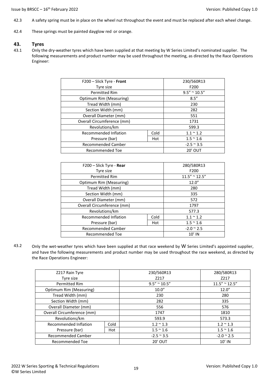- 42.3 A safety spring must be in place on the wheel nut throughout the event and must be replaced after each wheel change.
- 42.4 These springs must be painted dayglow red or orange.

### **43. Tyres**

43.1 Only the dry-weather tyres which have been supplied at that meeting by W Series Limited's nominated supplier. The following measurements and product number may be used throughout the meeting, as directed by the Race Operations Engineer:

| F200 - Slick Tyre - Front  | 230/560R13         |                        |  |
|----------------------------|--------------------|------------------------|--|
| Tyre size                  |                    | F200                   |  |
| <b>Permitted Rim</b>       |                    | $9.5'' \approx 10.5''$ |  |
| Optimum Rim (Measuring)    |                    | 8.5''                  |  |
| Tread Width (mm)           |                    | 230                    |  |
| Section Width (mm)         |                    | 282                    |  |
| Overall Diameter (mm)      | 551                |                        |  |
| Overall Circumference (mm) | 1731               |                        |  |
| Revolutions/km             | 599.3              |                        |  |
| Recommended Inflation      | $1.1 \approx 1.2$  |                        |  |
| Pressure (bar)             | $1.5 \approx 1.6$  |                        |  |
| <b>Recommended Camber</b>  | $-2.5 \approx 3.5$ |                        |  |
| <b>Recommended Toe</b>     | <b>20' OUT</b>     |                        |  |

| F200 - Slick Tyre - Rear   | 280/580R13         |                         |  |
|----------------------------|--------------------|-------------------------|--|
| Tyre size                  |                    | F200                    |  |
| <b>Permitted Rim</b>       |                    | $11.5'' \approx 12.5''$ |  |
| Optimum Rim (Measuring)    |                    | 12.0''                  |  |
| Tread Width (mm)           |                    | 280                     |  |
| Section Width (mm)         |                    | 335                     |  |
| Overall Diameter (mm)      | 572                |                         |  |
| Overall Circumference (mm) | 1797               |                         |  |
| Revolutions/km             | 577.3              |                         |  |
| Recommended Inflation      | $1.1 \approx 1.2$  |                         |  |
| Pressure (bar)             | $1.5 \approx 1.6$  |                         |  |
| <b>Recommended Camber</b>  | $-2.0 \approx 2.5$ |                         |  |
| Recommended Toe            | $10'$ IN           |                         |  |

43.2 Only the wet-weather tyres which have been supplied at that race weekend by W Series Limited's appointed supplier, and have the following measurements and product number may be used throughout the race weekend, as directed by the Race Operations Engineer:

| Z217 Rain Tyre             |      | 230/560R13          | 280/580R13              |
|----------------------------|------|---------------------|-------------------------|
| Tyre size                  |      | Z217                | Z217                    |
| <b>Permitted Rim</b>       |      | $9.5'' \sim 10.5''$ | $11.5'' \approx 12.5''$ |
| Optimum Rim (Measuring)    |      | 10.0"               | 12.0''                  |
| Tread Width (mm)           |      | 230                 | 280                     |
| Section Width (mm)         |      | 282                 | 335                     |
| Overall Diameter (mm)      |      | 556                 | 576                     |
| Overall Circumference (mm) |      | 1747                | 1810                    |
| Revolutions/km             |      | 593.9               | 573.3                   |
| Recommended Inflation      | Cold | $1.2 \approx 1.3$   | $1.2 \approx 1.3$       |
| Pressure (bar)             | Hot  | $1.5 \approx 1.6$   | $1.5 \approx 1.6$       |
| <b>Recommended Camber</b>  |      | $-2.5 \approx 3.5$  | $-2.0 \approx 2.5$      |
| <b>Recommended Toe</b>     |      | <b>20' OUT</b>      | $10'$ IN                |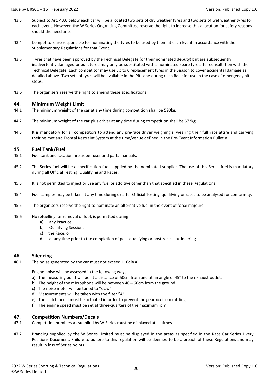- 43.3 Subject to Art. 43.6 below each car will be allocated two sets of dry weather tyres and two sets of wet weather tyres for each event. However, the W Series Organising Committee reserve the right to increase this allocation for safety reasons should the need arise.
- 43.4 Competitors are responsible for nominating the tyres to be used by them at each Event in accordance with the Supplementary Regulations for that Event.
- 43.5 Tyres that have been approved by the Technical Delegate (or their nominated deputy) but are subsequently inadvertently damaged or punctured may only be substituted with a nominated spare tyre after consultation with the Technical Delegate. Each competitor may use up to 6 replacement tyres in the Season to cover accidental damage as detailed above. Two sets of tyres will be available in the Pit Lane during each Race for use in the case of emergency pit stops.
- 43.6 The organisers reserve the right to amend these specifications.

### **44. Minimum Weight Limit**

- 44.1 The minimum weight of the car at any time during competition shall be 590kg.
- 44.2 The minimum weight of the car plus driver at any time during competition shall be 672kg.
- 44.3 It is mandatory for all competitors to attend any pre-race driver weighing's, wearing their full race attire and carrying their helmet and Frontal Restraint System at the time/venue defined in the Pre-Event Information Bulletin.

### **45. Fuel Tank/Fuel**

- 45.1 Fuel tank and location are as per user and parts manuals.
- 45.2 The Series fuel will be a specification fuel supplied by the nominated supplier. The use of this Series fuel is mandatory during all Official Testing, Qualifying and Races.
- 45.3 It is not permitted to inject or use any fuel or additive other than that specified in these Regulations.
- 45.4 Fuel samples may be taken at any time during or after Official Testing, qualifying or races to be analysed for conformity.
- 45.5 The organisers reserve the right to nominate an alternative fuel in the event of force majeure.
- 45.6 No refuelling, or removal of fuel, is permitted during:
	- a) any Practice;
	- b) Qualifying Session;
	- c) the Race; or
	- d) at any time prior to the completion of post-qualifying or post-race scrutineering.

### **46. Silencing**

46.1 The noise generated by the car must not exceed 110dB(A).

Engine noise will be assessed in the following ways:

- a) The measuring point will be at a distance of 50cm from and at an angle of 45° to the exhaust outlet.
- b) The height of the microphone will be between 40---60cm from the ground.
- c) The noise meter will be tuned to "slow".
- d) Measurements will be taken with the filter "A".
- e) The clutch pedal must be actuated in order to prevent the gearbox from rattling.
- f) The engine speed must be set at three-quarters of the maximum rpm.

### **47. Competition Numbers/Decals**

- 47.1 Competition numbers as supplied by W Series must be displayed at all times.
- 47.2 Branding supplied by the W Series Limited must be displayed in the areas as specified in the Race Car Series Livery Positions Document. Failure to adhere to this regulation will be deemed to be a breach of these Regulations and may result in loss of Series points.